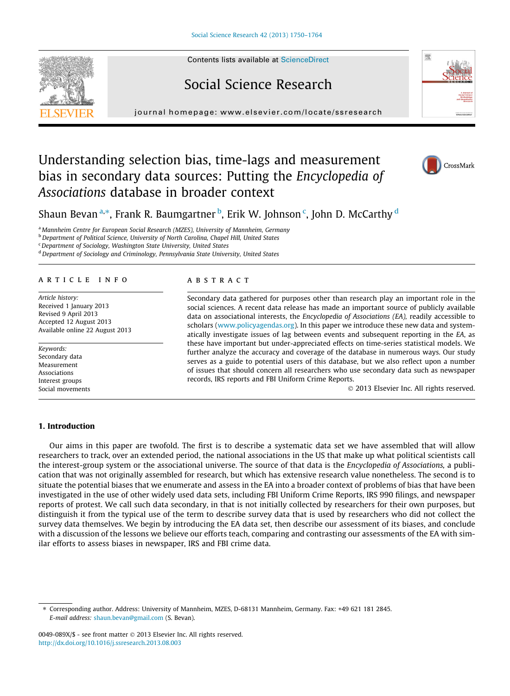Contents lists available at [ScienceDirect](http://www.sciencedirect.com/science/journal/0049089X)





journal homepage: [www.elsevier.com/locate/ssresearch](http://www.elsevier.com/locate/ssresearch)

# Understanding selection bias, time-lags and measurement bias in secondary data sources: Putting the Encyclopedia of Associations database in broader context



Shaun Bevan <sup>a,</sup>\*, Frank R. Baumgartner <sup>b</sup>, Erik W. Johnson <sup>c</sup>, John D. McCarthy <sup>d</sup>

<sup>a</sup> Mannheim Centre for European Social Research (MZES), University of Mannheim, Germany

**b** Department of Political Science, University of North Carolina, Chapel Hill, United States

<sup>c</sup> Department of Sociology, Washington State University, United States

<sup>d</sup> Department of Sociology and Criminology, Pennsylvania State University, United States

# article info

Article history: Received 1 January 2013 Revised 9 April 2013 Accepted 12 August 2013 Available online 22 August 2013

Keywords: Secondary data Measurement Associations Interest groups Social movements

# ABSTRACT

Secondary data gathered for purposes other than research play an important role in the social sciences. A recent data release has made an important source of publicly available data on associational interests, the Encyclopedia of Associations (EA), readily accessible to scholars ([www.policyagendas.org](http://www.policyagendas.org)). In this paper we introduce these new data and systematically investigate issues of lag between events and subsequent reporting in the EA, as these have important but under-appreciated effects on time-series statistical models. We further analyze the accuracy and coverage of the database in numerous ways. Our study serves as a guide to potential users of this database, but we also reflect upon a number of issues that should concern all researchers who use secondary data such as newspaper records, IRS reports and FBI Uniform Crime Reports.

- 2013 Elsevier Inc. All rights reserved.

# 1. Introduction

Our aims in this paper are twofold. The first is to describe a systematic data set we have assembled that will allow researchers to track, over an extended period, the national associations in the US that make up what political scientists call the interest-group system or the associational universe. The source of that data is the Encyclopedia of Associations, a publication that was not originally assembled for research, but which has extensive research value nonetheless. The second is to situate the potential biases that we enumerate and assess in the EA into a broader context of problems of bias that have been investigated in the use of other widely used data sets, including FBI Uniform Crime Reports, IRS 990 filings, and newspaper reports of protest. We call such data secondary, in that is not initially collected by researchers for their own purposes, but distinguish it from the typical use of the term to describe survey data that is used by researchers who did not collect the survey data themselves. We begin by introducing the EA data set, then describe our assessment of its biases, and conclude with a discussion of the lessons we believe our efforts teach, comparing and contrasting our assessments of the EA with similar efforts to assess biases in newspaper, IRS and FBI crime data.

<sup>⇑</sup> Corresponding author. Address: University of Mannheim, MZES, D-68131 Mannheim, Germany. Fax: +49 621 181 2845. E-mail address: [shaun.bevan@gmail.com](mailto:shaun.bevan@gmail.com) (S. Bevan).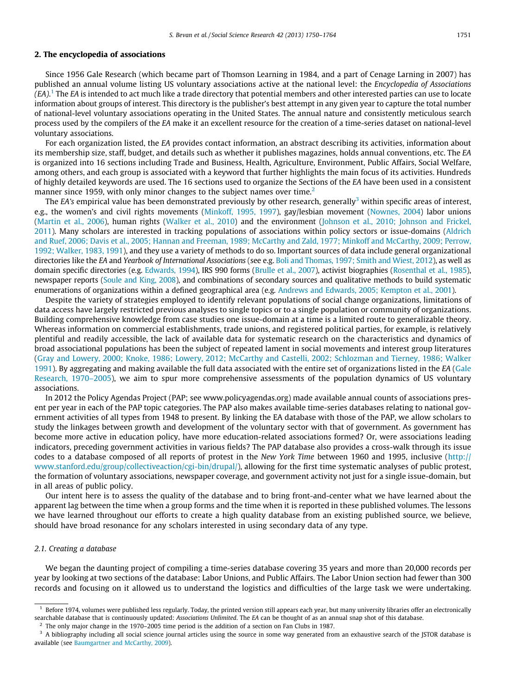# 2. The encyclopedia of associations

Since 1956 Gale Research (which became part of Thomson Learning in 1984, and a part of Cenage Larning in 2007) has published an annual volume listing US voluntary associations active at the national level: the Encyclopedia of Associations (EA). $^{\rm I}$  The EA is intended to act much like a trade directory that potential members and other interested parties can use to locate information about groups of interest. This directory is the publisher's best attempt in any given year to capture the total number of national-level voluntary associations operating in the United States. The annual nature and consistently meticulous search process used by the compilers of the EA make it an excellent resource for the creation of a time-series dataset on national-level voluntary associations.

For each organization listed, the EA provides contact information, an abstract describing its activities, information about its membership size, staff, budget, and details such as whether it publishes magazines, holds annual conventions, etc. The EA is organized into 16 sections including Trade and Business, Health, Agriculture, Environment, Public Affairs, Social Welfare, among others, and each group is associated with a keyword that further highlights the main focus of its activities. Hundreds of highly detailed keywords are used. The 16 sections used to organize the Sections of the EA have been used in a consistent manner since 1959, with only minor changes to the subject names over time.<sup>2</sup>

The EA's empirical value has been demonstrated previously by other research, generally<sup>3</sup> within specific areas of interest, e.g., the women's and civil rights movements [\(Minkoff, 1995, 1997](#page-13-0)), gay/lesbian movement [\(Nownes, 2004](#page-13-0)) labor unions ([Martin et al., 2006\)](#page-13-0), human rights [\(Walker et al., 2010\)](#page-14-0) and the environment ([Johnson et al., 2010; Johnson and Frickel,](#page-13-0) [2011](#page-13-0)). Many scholars are interested in tracking populations of associations within policy sectors or issue-domains ([Aldrich](#page-12-0) [and Ruef, 2006; Davis et al., 2005; Hannan and Freeman, 1989; McCarthy and Zald, 1977; Minkoff and McCarthy, 2009; Perrow,](#page-12-0) [1992; Walker, 1983, 1991\)](#page-12-0), and they use a variety of methods to do so. Important sources of data include general organizational directories like the EA and Yearbook of International Associations (see e.g. [Boli and Thomas, 1997; Smith and Wiest, 2012](#page-12-0)), as well as domain specific directories (e.g. [Edwards, 1994\)](#page-12-0), IRS 990 forms [\(Brulle et al., 2007\)](#page-12-0), activist biographies ([Rosenthal et al., 1985](#page-13-0)), newspaper reports [\(Soule and King, 2008\)](#page-14-0), and combinations of secondary sources and qualitative methods to build systematic enumerations of organizations within a defined geographical area (e.g. [Andrews and Edwards, 2005; Kempton et al., 2001\)](#page-12-0).

Despite the variety of strategies employed to identify relevant populations of social change organizations, limitations of data access have largely restricted previous analyses to single topics or to a single population or community of organizations. Building comprehensive knowledge from case studies one issue-domain at a time is a limited route to generalizable theory. Whereas information on commercial establishments, trade unions, and registered political parties, for example, is relatively plentiful and readily accessible, the lack of available data for systematic research on the characteristics and dynamics of broad associational populations has been the subject of repeated lament in social movements and interest group literatures ([Gray and Lowery, 2000; Knoke, 1986; Lowery, 2012; McCarthy and Castelli, 2002; Schlozman and Tierney, 1986; Walker](#page-13-0) [1991\)](#page-13-0). By aggregating and making available the full data associated with the entire set of organizations listed in the EA [\(Gale](#page-13-0) [Research, 1970–2005\)](#page-13-0), we aim to spur more comprehensive assessments of the population dynamics of US voluntary associations.

In 2012 the Policy Agendas Project (PAP; see www.policyagendas.org) made available annual counts of associations present per year in each of the PAP topic categories. The PAP also makes available time-series databases relating to national government activities of all types from 1948 to present. By linking the EA database with those of the PAP, we allow scholars to study the linkages between growth and development of the voluntary sector with that of government. As government has become more active in education policy, have more education-related associations formed? Or, were associations leading indicators, preceding government activities in various fields? The PAP database also provides a cross-walk through its issue codes to a database composed of all reports of protest in the New York Time between 1960 and 1995, inclusive [\(http://](http://www.stanford.edu/group/collectiveaction/cgi-bin/drupal/) [www.stanford.edu/group/collectiveaction/cgi-bin/drupal/\)](http://www.stanford.edu/group/collectiveaction/cgi-bin/drupal/), allowing for the first time systematic analyses of public protest, the formation of voluntary associations, newspaper coverage, and government activity not just for a single issue-domain, but in all areas of public policy.

Our intent here is to assess the quality of the database and to bring front-and-center what we have learned about the apparent lag between the time when a group forms and the time when it is reported in these published volumes. The lessons we have learned throughout our efforts to create a high quality database from an existing published source, we believe, should have broad resonance for any scholars interested in using secondary data of any type.

# 2.1. Creating a database

We began the daunting project of compiling a time-series database covering 35 years and more than 20,000 records per year by looking at two sections of the database: Labor Unions, and Public Affairs. The Labor Union section had fewer than 300 records and focusing on it allowed us to understand the logistics and difficulties of the large task we were undertaking.

 $<sup>1</sup>$  Before 1974, volumes were published less regularly. Today, the printed version still appears each year, but many university libraries offer an electronically</sup> searchable database that is continuously updated: Associations Unlimited. The EA can be thought of as an annual snap shot of this database.

<sup>2</sup> The only major change in the 1970–2005 time period is the addition of a section on Fan Clubs in 1987.

 $3$  A bibliography including all social science journal articles using the source in some way generated from an exhaustive search of the JSTOR database is available (see [Baumgartner and McCarthy, 2009\)](#page-12-0).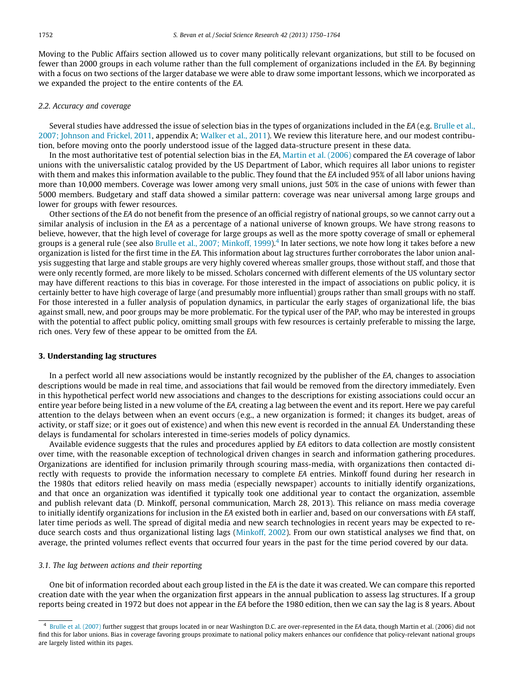Moving to the Public Affairs section allowed us to cover many politically relevant organizations, but still to be focused on fewer than 2000 groups in each volume rather than the full complement of organizations included in the EA. By beginning with a focus on two sections of the larger database we were able to draw some important lessons, which we incorporated as we expanded the project to the entire contents of the EA.

# 2.2. Accuracy and coverage

Several studies have addressed the issue of selection bias in the types of organizations included in the EA (e.g. [Brulle et al.,](#page-12-0) [2007; Johnson and Frickel, 2011](#page-12-0), appendix A; [Walker et al., 2011](#page-14-0)). We review this literature here, and our modest contribution, before moving onto the poorly understood issue of the lagged data-structure present in these data.

In the most authoritative test of potential selection bias in the EA, [Martin et al. \(2006\)](#page-13-0) compared the EA coverage of labor unions with the universalistic catalog provided by the US Department of Labor, which requires all labor unions to register with them and makes this information available to the public. They found that the EA included 95% of all labor unions having more than 10,000 members. Coverage was lower among very small unions, just 50% in the case of unions with fewer than 5000 members. Budgetary and staff data showed a similar pattern: coverage was near universal among large groups and lower for groups with fewer resources.

Other sections of the EA do not benefit from the presence of an official registry of national groups, so we cannot carry out a similar analysis of inclusion in the EA as a percentage of a national universe of known groups. We have strong reasons to believe, however, that the high level of coverage for large groups as well as the more spotty coverage of small or ephemeral groups is a general rule (see also [Brulle et al., 2007; Minkoff, 1999\)](#page-12-0).<sup>4</sup> In later sections, we note how long it takes before a new organization is listed for the first time in the EA. This information about lag structures further corroborates the labor union analysis suggesting that large and stable groups are very highly covered whereas smaller groups, those without staff, and those that were only recently formed, are more likely to be missed. Scholars concerned with different elements of the US voluntary sector may have different reactions to this bias in coverage. For those interested in the impact of associations on public policy, it is certainly better to have high coverage of large (and presumably more influential) groups rather than small groups with no staff. For those interested in a fuller analysis of population dynamics, in particular the early stages of organizational life, the bias against small, new, and poor groups may be more problematic. For the typical user of the PAP, who may be interested in groups with the potential to affect public policy, omitting small groups with few resources is certainly preferable to missing the large, rich ones. Very few of these appear to be omitted from the EA.

# 3. Understanding lag structures

In a perfect world all new associations would be instantly recognized by the publisher of the EA, changes to association descriptions would be made in real time, and associations that fail would be removed from the directory immediately. Even in this hypothetical perfect world new associations and changes to the descriptions for existing associations could occur an entire year before being listed in a new volume of the EA, creating a lag between the event and its report. Here we pay careful attention to the delays between when an event occurs (e.g., a new organization is formed; it changes its budget, areas of activity, or staff size; or it goes out of existence) and when this new event is recorded in the annual EA. Understanding these delays is fundamental for scholars interested in time-series models of policy dynamics.

Available evidence suggests that the rules and procedures applied by EA editors to data collection are mostly consistent over time, with the reasonable exception of technological driven changes in search and information gathering procedures. Organizations are identified for inclusion primarily through scouring mass-media, with organizations then contacted directly with requests to provide the information necessary to complete EA entries. Minkoff found during her research in the 1980s that editors relied heavily on mass media (especially newspaper) accounts to initially identify organizations, and that once an organization was identified it typically took one additional year to contact the organization, assemble and publish relevant data (D. Minkoff, personal communication, March 28, 2013). This reliance on mass media coverage to initially identify organizations for inclusion in the EA existed both in earlier and, based on our conversations with EA staff, later time periods as well. The spread of digital media and new search technologies in recent years may be expected to reduce search costs and thus organizational listing lags [\(Minkoff, 2002\)](#page-13-0). From our own statistical analyses we find that, on average, the printed volumes reflect events that occurred four years in the past for the time period covered by our data.

#### 3.1. The lag between actions and their reporting

One bit of information recorded about each group listed in the EA is the date it was created. We can compare this reported creation date with the year when the organization first appears in the annual publication to assess lag structures. If a group reports being created in 1972 but does not appear in the EA before the 1980 edition, then we can say the lag is 8 years. About

 $^4$  [Brulle et al. \(2007\)](#page-12-0) further suggest that groups located in or near Washington D.C. are over-represented in the EA data, though Martin et al. (2006) did not find this for labor unions. Bias in coverage favoring groups proximate to national policy makers enhances our confidence that policy-relevant national groups are largely listed within its pages.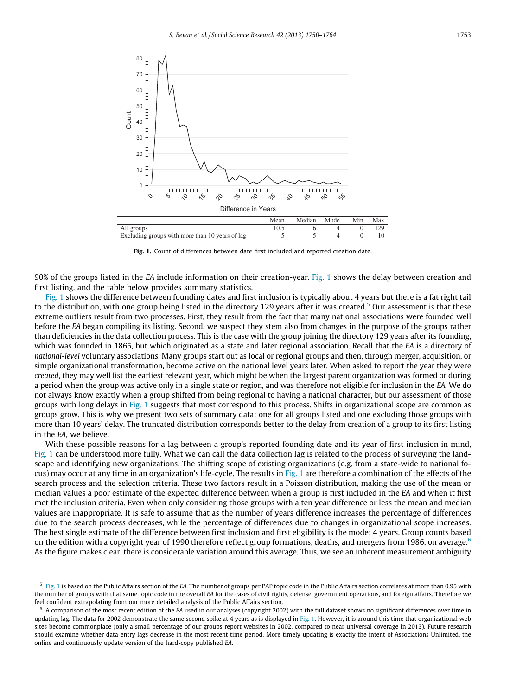<span id="page-3-0"></span>

Fig. 1. Count of differences between date first included and reported creation date.

90% of the groups listed in the EA include information on their creation-year. Fig. 1 shows the delay between creation and first listing, and the table below provides summary statistics.

Fig. 1 shows the difference between founding dates and first inclusion is typically about 4 years but there is a fat right tail to the distribution, with one group being listed in the directory 129 years after it was created.<sup>5</sup> Our assessment is that these extreme outliers result from two processes. First, they result from the fact that many national associations were founded well before the EA began compiling its listing. Second, we suspect they stem also from changes in the purpose of the groups rather than deficiencies in the data collection process. This is the case with the group joining the directory 129 years after its founding, which was founded in 1865, but which originated as a state and later regional association. Recall that the EA is a directory of national-level voluntary associations. Many groups start out as local or regional groups and then, through merger, acquisition, or simple organizational transformation, become active on the national level years later. When asked to report the year they were created, they may well list the earliest relevant year, which might be when the largest parent organization was formed or during a period when the group was active only in a single state or region, and was therefore not eligible for inclusion in the EA. We do not always know exactly when a group shifted from being regional to having a national character, but our assessment of those groups with long delays in Fig. 1 suggests that most correspond to this process. Shifts in organizational scope are common as groups grow. This is why we present two sets of summary data: one for all groups listed and one excluding those groups with more than 10 years' delay. The truncated distribution corresponds better to the delay from creation of a group to its first listing in the EA, we believe.

With these possible reasons for a lag between a group's reported founding date and its year of first inclusion in mind, Fig. 1 can be understood more fully. What we can call the data collection lag is related to the process of surveying the landscape and identifying new organizations. The shifting scope of existing organizations (e.g. from a state-wide to national focus) may occur at any time in an organization's life-cycle. The results in Fig. 1 are therefore a combination of the effects of the search process and the selection criteria. These two factors result in a Poisson distribution, making the use of the mean or median values a poor estimate of the expected difference between when a group is first included in the EA and when it first met the inclusion criteria. Even when only considering those groups with a ten year difference or less the mean and median values are inappropriate. It is safe to assume that as the number of years difference increases the percentage of differences due to the search process decreases, while the percentage of differences due to changes in organizational scope increases. The best single estimate of the difference between first inclusion and first eligibility is the mode: 4 years. Group counts based on the edition with a copyright year of 1990 therefore reflect group formations, deaths, and mergers from 1986, on average.<sup>6</sup> As the figure makes clear, there is considerable variation around this average. Thus, we see an inherent measurement ambiguity

<sup>&</sup>lt;sup>5</sup> Fig. 1 is based on the Public Affairs section of the EA. The number of groups per PAP topic code in the Public Affairs section correlates at more than 0.95 with the number of groups with that same topic code in the overall EA for the cases of civil rights, defense, government operations, and foreign affairs. Therefore we feel confident extrapolating from our more detailed analysis of the Public Affairs section.

 $6$  A comparison of the most recent edition of the EA used in our analyses (copyright 2002) with the full dataset shows no significant differences over time in updating lag. The data for 2002 demonstrate the same second spike at 4 years as is displayed in Fig. 1. However, it is around this time that organizational web sites become commonplace (only a small percentage of our groups report websites in 2002, compared to near universal coverage in 2013). Future research should examine whether data-entry lags decrease in the most recent time period. More timely updating is exactly the intent of Associations Unlimited, the online and continuously update version of the hard-copy published EA.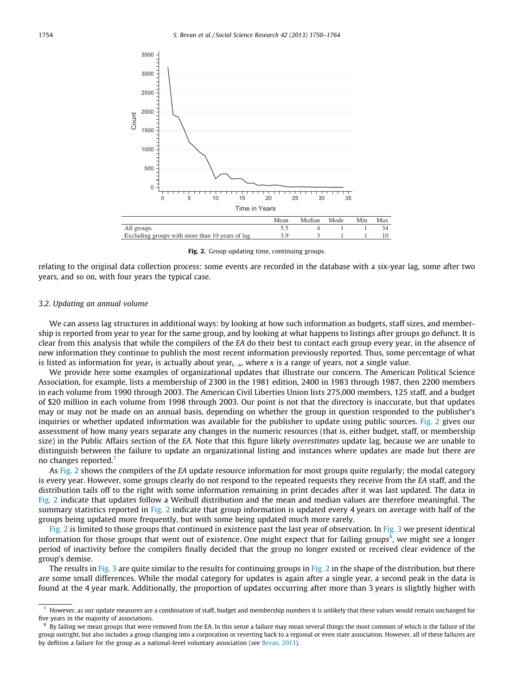

Fig. 2. Group updating time, continuing groups.

relating to the original data collection process: some events are recorded in the database with a six-year lag, some after two years, and so on, with four years the typical case.

# 3.2. Updating an annual volume

We can assess lag structures in additional ways: by looking at how such information as budgets, staff sizes, and membership is reported from year to year for the same group, and by looking at what happens to listings after groups go defunct. It is clear from this analysis that while the compilers of the EA do their best to contact each group every year, in the absence of new information they continue to publish the most recent information previously reported. Thus, some percentage of what is listed as information for year<sub>t</sub> is actually about year<sub>t–x</sub>, where x is a range of years, not a single value.

We provide here some examples of organizational updates that illustrate our concern. The American Political Science Association, for example, lists a membership of 2300 in the 1981 edition, 2400 in 1983 through 1987, then 2200 members in each volume from 1990 through 2003. The American Civil Liberties Union lists 275,000 members, 125 staff, and a budget of \$20 million in each volume from 1998 through 2003. Our point is not that the directory is inaccurate, but that updates may or may not be made on an annual basis, depending on whether the group in question responded to the publisher's inquiries or whether updated information was available for the publisher to update using public sources. Fig. 2 gives our assessment of how many years separate any changes in the numeric resources (that is, either budget, staff, or membership size) in the Public Affairs section of the EA. Note that this figure likely overestimates update lag, because we are unable to distinguish between the failure to update an organizational listing and instances where updates are made but there are no changes reported.7

As Fig. 2 shows the compilers of the EA update resource information for most groups quite regularly; the modal category is every year. However, some groups clearly do not respond to the repeated requests they receive from the EA staff, and the distribution tails off to the right with some information remaining in print decades after it was last updated. The data in Fig. 2 indicate that updates follow a Weibull distribution and the mean and median values are therefore meaningful. The summary statistics reported in Fig. 2 indicate that group information is updated every 4 years on average with half of the groups being updated more frequently, but with some being updated much more rarely.

Fig. 2 is limited to those groups that continued in existence past the last year of observation. In [Fig. 3](#page-5-0) we present identical information for those groups that went out of existence. One might expect that for failing groups<sup>8</sup>, we might see a longer period of inactivity before the compilers finally decided that the group no longer existed or received clear evidence of the group's demise.

The results in [Fig. 3](#page-5-0) are quite similar to the results for continuing groups in Fig. 2 in the shape of the distribution, but there are some small differences. While the modal category for updates is again after a single year, a second peak in the data is found at the 4 year mark. Additionally, the proportion of updates occurring after more than 3 years is slightly higher with

<sup>7</sup> However, as our update measures are a combination of staff, budget and membership numbers it is unlikely that these values would remain unchanged for five years in the majority of associations.

By failing we mean groups that were removed from the EA. In this sense a failure may mean several things the most common of which is the failure of the group outright, but also includes a group changing into a corporation or reverting back to a regional or even state association. However, all of these failures are by defition a failure for the group as a national-level voluntary association (see [Bevan, 2013](#page-12-0)).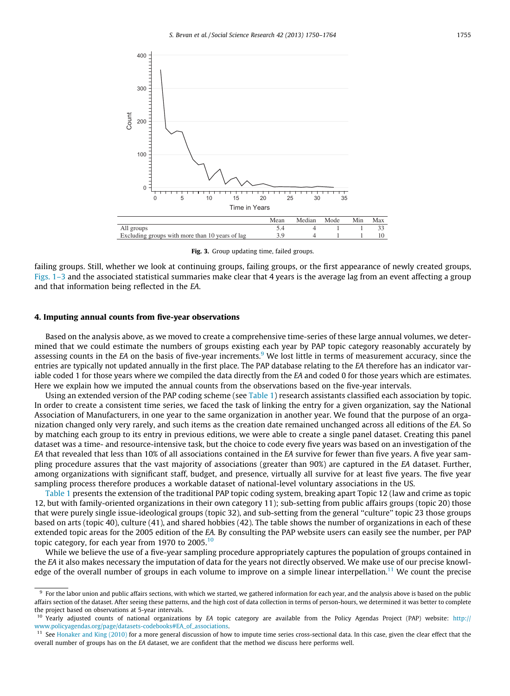<span id="page-5-0"></span>

Fig. 3. Group updating time, failed groups.

failing groups. Still, whether we look at continuing groups, failing groups, or the first appearance of newly created groups, [Figs. 1–3](#page-3-0) and the associated statistical summaries make clear that 4 years is the average lag from an event affecting a group and that information being reflected in the EA.

# 4. Imputing annual counts from five-year observations

Based on the analysis above, as we moved to create a comprehensive time-series of these large annual volumes, we determined that we could estimate the numbers of groups existing each year by PAP topic category reasonably accurately by assessing counts in the EA on the basis of five-year increments.<sup>9</sup> We lost little in terms of measurement accuracy, since the entries are typically not updated annually in the first place. The PAP database relating to the EA therefore has an indicator variable coded 1 for those years where we compiled the data directly from the EA and coded 0 for those years which are estimates. Here we explain how we imputed the annual counts from the observations based on the five-year intervals.

Using an extended version of the PAP coding scheme (see [Table 1\)](#page-6-0) research assistants classified each association by topic. In order to create a consistent time series, we faced the task of linking the entry for a given organization, say the National Association of Manufacturers, in one year to the same organization in another year. We found that the purpose of an organization changed only very rarely, and such items as the creation date remained unchanged across all editions of the EA. So by matching each group to its entry in previous editions, we were able to create a single panel dataset. Creating this panel dataset was a time- and resource-intensive task, but the choice to code every five years was based on an investigation of the EA that revealed that less than 10% of all associations contained in the EA survive for fewer than five years. A five year sampling procedure assures that the vast majority of associations (greater than 90%) are captured in the EA dataset. Further, among organizations with significant staff, budget, and presence, virtually all survive for at least five years. The five year sampling process therefore produces a workable dataset of national-level voluntary associations in the US.

[Table 1](#page-6-0) presents the extension of the traditional PAP topic coding system, breaking apart Topic 12 (law and crime as topic 12, but with family-oriented organizations in their own category 11); sub-setting from public affairs groups (topic 20) those that were purely single issue-ideological groups (topic 32), and sub-setting from the general ''culture'' topic 23 those groups based on arts (topic 40), culture (41), and shared hobbies (42). The table shows the number of organizations in each of these extended topic areas for the 2005 edition of the EA. By consulting the PAP website users can easily see the number, per PAP topic category, for each year from 1970 to 2005.<sup>10</sup>

While we believe the use of a five-year sampling procedure appropriately captures the population of groups contained in the EA it also makes necessary the imputation of data for the years not directly observed. We make use of our precise knowledge of the overall number of groups in each volume to improve on a simple linear interpellation.<sup>11</sup> We count the precise

 $9$  For the labor union and public affairs sections, with which we started, we gathered information for each year, and the analysis above is based on the public affairs section of the dataset. After seeing these patterns, and the high cost of data collection in terms of person-hours, we determined it was better to complete the project based on observations at 5-year intervals.

<sup>&</sup>lt;sup>10</sup> Yearly adjusted counts of national organizations by EA topic category are available from the Policy Agendas Project (PAP) website: [http://](http://www.policyagendas.org/page/datasets-codebooks#EA_of_associations) [www.policyagendas.org/page/datasets-codebooks#EA\\_of\\_associations.](http://www.policyagendas.org/page/datasets-codebooks#EA_of_associations)

<sup>&</sup>lt;sup>11</sup> See [Honaker and King \(2010\)](#page-13-0) for a more general discussion of how to impute time series cross-sectional data. In this case, given the clear effect that the overall number of groups has on the EA dataset, we are confident that the method we discuss here performs well.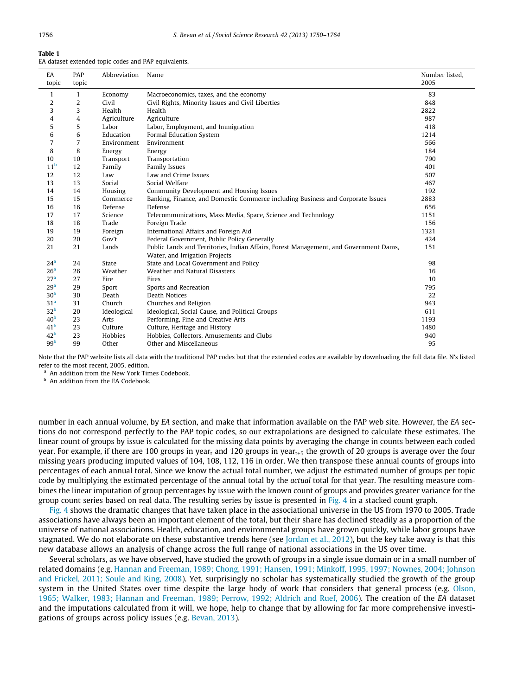### <span id="page-6-0"></span>Table 1

EA dataset extended topic codes and PAP equivalents.

| EA              | PAP          | Abbreviation | Name                                                                                  | Number listed, |
|-----------------|--------------|--------------|---------------------------------------------------------------------------------------|----------------|
| topic           | topic        |              |                                                                                       | 2005           |
| $\mathbf{1}$    | $\mathbf{1}$ | Economy      | Macroeconomics, taxes, and the economy                                                | 83             |
| $\overline{2}$  | 2            | Civil        | Civil Rights, Minority Issues and Civil Liberties                                     | 848            |
| 3               | 3            | Health       | Health                                                                                | 2822           |
| 4               | 4            | Agriculture  | Agriculture                                                                           | 987            |
| 5               | 5            | Labor        | Labor, Employment, and Immigration                                                    | 418            |
| 6               | 6            | Education    | Formal Education System                                                               | 1214           |
| 7               | 7            | Environment  | Environment                                                                           | 566            |
| 8               | 8            | Energy       | Energy                                                                                | 184            |
| 10              | 10           | Transport    | Transportation                                                                        | 790            |
| 11 <sup>b</sup> | 12           | Family       | Family Issues                                                                         | 401            |
| 12              | 12           | Law          | Law and Crime Issues                                                                  | 507            |
| 13              | 13           | Social       | Social Welfare                                                                        | 467            |
| 14              | 14           | Housing      | Community Development and Housing Issues                                              | 192            |
| 15              | 15           | Commerce     | Banking, Finance, and Domestic Commerce including Business and Corporate Issues       | 2883           |
| 16              | 16           | Defense      | Defense                                                                               | 656            |
| 17              | 17           | Science      | Telecommunications, Mass Media, Space, Science and Technology                         | 1151           |
| 18              | 18           | Trade        | Foreign Trade                                                                         | 156            |
| 19              | 19           | Foreign      | International Affairs and Foreign Aid                                                 | 1321           |
| 20              | 20           | Gov't        | Federal Government, Public Policy Generally                                           | 424            |
| 21              | 21           | Lands        | Public Lands and Territories, Indian Affairs, Forest Management, and Government Dams, | 151            |
|                 |              |              | Water, and Irrigation Projects                                                        |                |
| 24 <sup>a</sup> | 24           | State        | State and Local Government and Policy                                                 | 98             |
| 26 <sup>a</sup> | 26           | Weather      | Weather and Natural Disasters                                                         | 16             |
| 27 <sup>a</sup> | 27           | Fire         | Fires                                                                                 | 10             |
| 29 <sup>a</sup> | 29           | Sport        | Sports and Recreation                                                                 | 795            |
| 30 <sup>a</sup> | 30           | Death        | <b>Death Notices</b>                                                                  | 22             |
| 31 <sup>a</sup> | 31           | Church       | Churches and Religion                                                                 | 943            |
| 32 <sup>b</sup> | 20           | Ideological  | Ideological, Social Cause, and Political Groups                                       | 611            |
| 40 <sup>b</sup> | 23           | Arts         | Performing, Fine and Creative Arts                                                    | 1193           |
| 41 <sup>b</sup> | 23           | Culture      | Culture, Heritage and History                                                         | 1480           |
| 42 <sup>b</sup> | 23           | Hobbies      | Hobbies, Collectors, Amusements and Clubs                                             | 940            |
| 99 <sup>b</sup> | 99           | Other        | Other and Miscellaneous                                                               | 95             |

Note that the PAP website lists all data with the traditional PAP codes but that the extended codes are available by downloading the full data file. N's listed refer to the most recent, 2005, edition.

<sup>a</sup> An addition from the New York Times Codebook.

**b** An addition from the EA Codebook.

number in each annual volume, by EA section, and make that information available on the PAP web site. However, the EA sections do not correspond perfectly to the PAP topic codes, so our extrapolations are designed to calculate these estimates. The linear count of groups by issue is calculated for the missing data points by averaging the change in counts between each coded year. For example, if there are 100 groups in year<sub>t</sub> and 120 groups in year<sub>t+5</sub> the growth of 20 groups is average over the four missing years producing imputed values of 104, 108, 112, 116 in order. We then transpose these annual counts of groups into percentages of each annual total. Since we know the actual total number, we adjust the estimated number of groups per topic code by multiplying the estimated percentage of the annual total by the *actual* total for that year. The resulting measure combines the linear imputation of group percentages by issue with the known count of groups and provides greater variance for the group count series based on real data. The resulting series by issue is presented in [Fig. 4](#page-7-0) in a stacked count graph.

[Fig. 4](#page-7-0) shows the dramatic changes that have taken place in the associational universe in the US from 1970 to 2005. Trade associations have always been an important element of the total, but their share has declined steadily as a proportion of the universe of national associations. Health, education, and environmental groups have grown quickly, while labor groups have stagnated. We do not elaborate on these substantive trends here (see [Jordan et al., 2012\)](#page-13-0), but the key take away is that this new database allows an analysis of change across the full range of national associations in the US over time.

Several scholars, as we have observed, have studied the growth of groups in a single issue domain or in a small number of related domains (e.g. [Hannan and Freeman, 1989; Chong, 1991; Hansen, 1991; Minkoff, 1995, 1997; Nownes, 2004; Johnson](#page-13-0) [and Frickel, 2011; Soule and King, 2008](#page-13-0)). Yet, surprisingly no scholar has systematically studied the growth of the group system in the United States over time despite the large body of work that considers that general process (e.g. [Olson,](#page-13-0) [1965; Walker, 1983; Hannan and Freeman, 1989; Perrow, 1992; Aldrich and Ruef, 2006](#page-13-0)). The creation of the EA dataset and the imputations calculated from it will, we hope, help to change that by allowing for far more comprehensive investigations of groups across policy issues (e.g. [Bevan, 2013](#page-12-0)).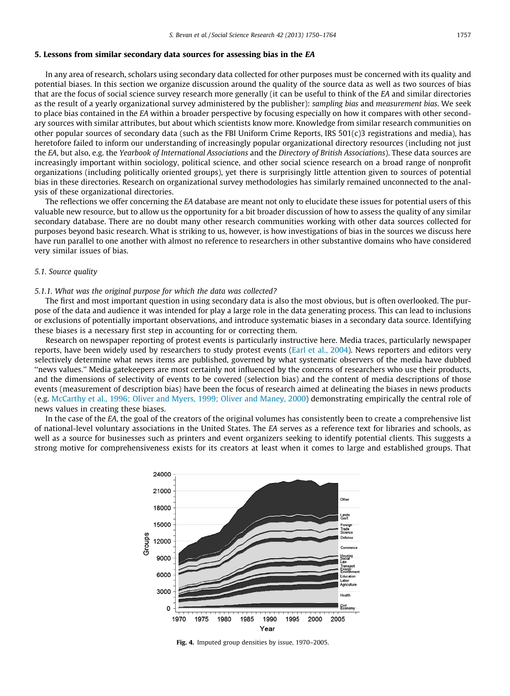# <span id="page-7-0"></span>5. Lessons from similar secondary data sources for assessing bias in the EA

In any area of research, scholars using secondary data collected for other purposes must be concerned with its quality and potential biases. In this section we organize discussion around the quality of the source data as well as two sources of bias that are the focus of social science survey research more generally (it can be useful to think of the EA and similar directories as the result of a yearly organizational survey administered by the publisher): sampling bias and measurement bias. We seek to place bias contained in the EA within a broader perspective by focusing especially on how it compares with other secondary sources with similar attributes, but about which scientists know more. Knowledge from similar research communities on other popular sources of secondary data (such as the FBI Uniform Crime Reports, IRS 501(c)3 registrations and media), has heretofore failed to inform our understanding of increasingly popular organizational directory resources (including not just the EA, but also, e.g. the Yearbook of International Associations and the Directory of British Associations). These data sources are increasingly important within sociology, political science, and other social science research on a broad range of nonprofit organizations (including politically oriented groups), yet there is surprisingly little attention given to sources of potential bias in these directories. Research on organizational survey methodologies has similarly remained unconnected to the analysis of these organizational directories.

The reflections we offer concerning the EA database are meant not only to elucidate these issues for potential users of this valuable new resource, but to allow us the opportunity for a bit broader discussion of how to assess the quality of any similar secondary database. There are no doubt many other research communities working with other data sources collected for purposes beyond basic research. What is striking to us, however, is how investigations of bias in the sources we discuss here have run parallel to one another with almost no reference to researchers in other substantive domains who have considered very similar issues of bias.

# 5.1. Source quality

# 5.1.1. What was the original purpose for which the data was collected?

The first and most important question in using secondary data is also the most obvious, but is often overlooked. The purpose of the data and audience it was intended for play a large role in the data generating process. This can lead to inclusions or exclusions of potentially important observations, and introduce systematic biases in a secondary data source. Identifying these biases is a necessary first step in accounting for or correcting them.

Research on newspaper reporting of protest events is particularly instructive here. Media traces, particularly newspaper reports, have been widely used by researchers to study protest events ([Earl et al., 2004\)](#page-12-0). News reporters and editors very selectively determine what news items are published, governed by what systematic observers of the media have dubbed ''news values.'' Media gatekeepers are most certainly not influenced by the concerns of researchers who use their products, and the dimensions of selectivity of events to be covered (selection bias) and the content of media descriptions of those events (measurement of description bias) have been the focus of research aimed at delineating the biases in news products (e.g. [McCarthy et al., 1996; Oliver and Myers, 1999; Oliver and Maney, 2000\)](#page-13-0) demonstrating empirically the central role of news values in creating these biases.

In the case of the EA, the goal of the creators of the original volumes has consistently been to create a comprehensive list of national-level voluntary associations in the United States. The EA serves as a reference text for libraries and schools, as well as a source for businesses such as printers and event organizers seeking to identify potential clients. This suggests a strong motive for comprehensiveness exists for its creators at least when it comes to large and established groups. That



Fig. 4. Imputed group densities by issue, 1970–2005.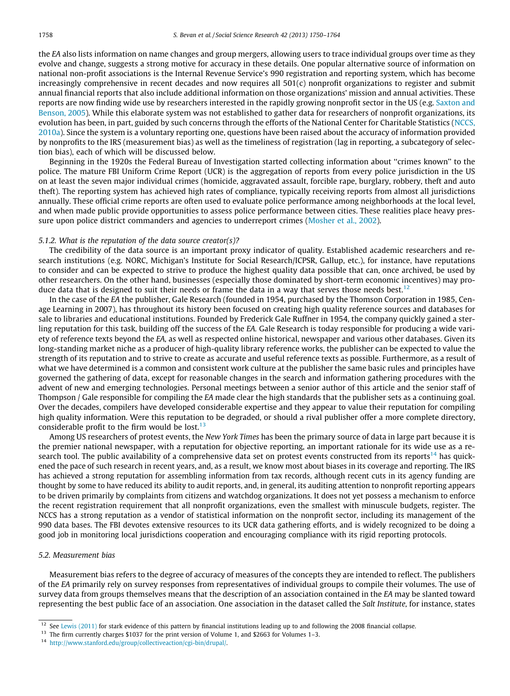the EA also lists information on name changes and group mergers, allowing users to trace individual groups over time as they evolve and change, suggests a strong motive for accuracy in these details. One popular alternative source of information on national non-profit associations is the Internal Revenue Service's 990 registration and reporting system, which has become increasingly comprehensive in recent decades and now requires all 501(c) nonprofit organizations to register and submit annual financial reports that also include additional information on those organizations' mission and annual activities. These reports are now finding wide use by researchers interested in the rapidly growing nonprofit sector in the US (e.g. [Saxton and](#page-13-0) [Benson, 2005](#page-13-0)). While this elaborate system was not established to gather data for researchers of nonprofit organizations, its evolution has been, in part, guided by such concerns through the efforts of the National Center for Charitable Statistics [\(NCCS,](#page-13-0) [2010a](#page-13-0)). Since the system is a voluntary reporting one, questions have been raised about the accuracy of information provided by nonprofits to the IRS (measurement bias) as well as the timeliness of registration (lag in reporting, a subcategory of selection bias), each of which will be discussed below.

Beginning in the 1920s the Federal Bureau of Investigation started collecting information about ''crimes known'' to the police. The mature FBI Uniform Crime Report (UCR) is the aggregation of reports from every police jurisdiction in the US on at least the seven major individual crimes (homicide, aggravated assault, forcible rape, burglary, robbery, theft and auto theft). The reporting system has achieved high rates of compliance, typically receiving reports from almost all jurisdictions annually. These official crime reports are often used to evaluate police performance among neighborhoods at the local level, and when made public provide opportunities to assess police performance between cities. These realities place heavy pressure upon police district commanders and agencies to underreport crimes [\(Mosher et al., 2002](#page-13-0)).

# 5.1.2. What is the reputation of the data source creator(s)?

The credibility of the data source is an important proxy indicator of quality. Established academic researchers and research institutions (e.g. NORC, Michigan's Institute for Social Research/ICPSR, Gallup, etc.), for instance, have reputations to consider and can be expected to strive to produce the highest quality data possible that can, once archived, be used by other researchers. On the other hand, businesses (especially those dominated by short-term economic incentives) may produce data that is designed to suit their needs or frame the data in a way that serves those needs best.<sup>12</sup>

In the case of the EA the publisher, Gale Research (founded in 1954, purchased by the Thomson Corporation in 1985, Cenage Learning in 2007), has throughout its history been focused on creating high quality reference sources and databases for sale to libraries and educational institutions. Founded by Frederick Gale Ruffner in 1954, the company quickly gained a sterling reputation for this task, building off the success of the EA. Gale Research is today responsible for producing a wide variety of reference texts beyond the EA, as well as respected online historical, newspaper and various other databases. Given its long-standing market niche as a producer of high-quality library reference works, the publisher can be expected to value the strength of its reputation and to strive to create as accurate and useful reference texts as possible. Furthermore, as a result of what we have determined is a common and consistent work culture at the publisher the same basic rules and principles have governed the gathering of data, except for reasonable changes in the search and information gathering procedures with the advent of new and emerging technologies. Personal meetings between a senior author of this article and the senior staff of Thompson / Gale responsible for compiling the EA made clear the high standards that the publisher sets as a continuing goal. Over the decades, compilers have developed considerable expertise and they appear to value their reputation for compiling high quality information. Were this reputation to be degraded, or should a rival publisher offer a more complete directory, considerable profit to the firm would be lost. $13$ 

Among US researchers of protest events, the New York Times has been the primary source of data in large part because it is the premier national newspaper, with a reputation for objective reporting, an important rationale for its wide use as a research tool. The public availability of a comprehensive data set on protest events constructed from its reports<sup>14</sup> has quickened the pace of such research in recent years, and, as a result, we know most about biases in its coverage and reporting. The IRS has achieved a strong reputation for assembling information from tax records, although recent cuts in its agency funding are thought by some to have reduced its ability to audit reports, and, in general, its auditing attention to nonprofit reporting appears to be driven primarily by complaints from citizens and watchdog organizations. It does not yet possess a mechanism to enforce the recent registration requirement that all nonprofit organizations, even the smallest with minuscule budgets, register. The NCCS has a strong reputation as a vendor of statistical information on the nonprofit sector, including its management of the 990 data bases. The FBI devotes extensive resources to its UCR data gathering efforts, and is widely recognized to be doing a good job in monitoring local jurisdictions cooperation and encouraging compliance with its rigid reporting protocols.

# 5.2. Measurement bias

Measurement bias refers to the degree of accuracy of measures of the concepts they are intended to reflect. The publishers of the EA primarily rely on survey responses from representatives of individual groups to compile their volumes. The use of survey data from groups themselves means that the description of an association contained in the EA may be slanted toward representing the best public face of an association. One association in the dataset called the Salt Institute, for instance, states

See [Lewis \(2011\)](#page-13-0) for stark evidence of this pattern by financial institutions leading up to and following the 2008 financial collapse.

<sup>&</sup>lt;sup>13</sup> The firm currently charges \$1037 for the print version of Volume 1, and \$2663 for Volumes 1-3.

<sup>14</sup> [http://www.stanford.edu/group/collectiveaction/cgi-bin/drupal/.](http://www.stanford.edu/group/collectiveaction/cgi-bin/drupal/)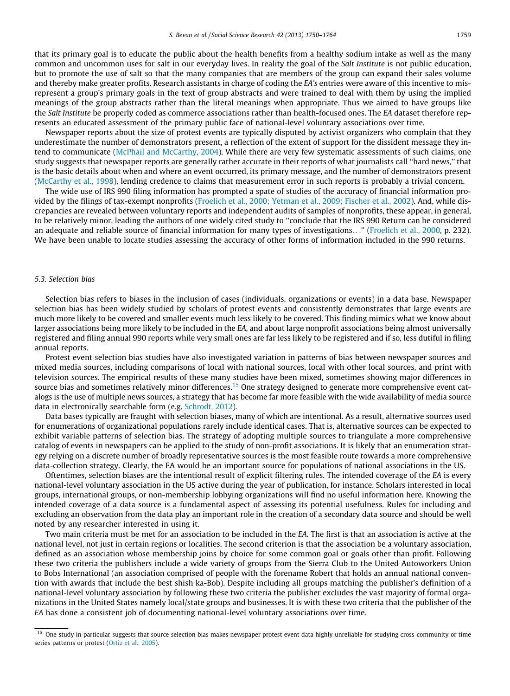that its primary goal is to educate the public about the health benefits from a healthy sodium intake as well as the many common and uncommon uses for salt in our everyday lives. In reality the goal of the Salt Institute is not public education, but to promote the use of salt so that the many companies that are members of the group can expand their sales volume and thereby make greater profits. Research assistants in charge of coding the EA's entries were aware of this incentive to misrepresent a group's primary goals in the text of group abstracts and were trained to deal with them by using the implied meanings of the group abstracts rather than the literal meanings when appropriate. Thus we aimed to have groups like the Salt Institute be properly coded as commerce associations rather than health-focused ones. The EA dataset therefore represents an educated assessment of the primary public face of national-level voluntary associations over time.

Newspaper reports about the size of protest events are typically disputed by activist organizers who complain that they underestimate the number of demonstrators present, a reflection of the extent of support for the dissident message they intend to communicate ([McPhail and McCarthy, 2004](#page-13-0)). While there are very few systematic assessments of such claims, one study suggests that newspaper reports are generally rather accurate in their reports of what journalists call ''hard news,'' that is the basic details about when and where an event occurred, its primary message, and the number of demonstrators present ([McCarthy et al., 1998](#page-13-0)), lending credence to claims that measurement error in such reports is probably a trivial concern.

The wide use of IRS 990 filing information has prompted a spate of studies of the accuracy of financial information provided by the filings of tax-exempt nonprofits ([Froelich et al., 2000; Yetman et al., 2009; Fischer et al., 2002\)](#page-13-0). And, while discrepancies are revealed between voluntary reports and independent audits of samples of nonprofits, these appear, in general, to be relatively minor, leading the authors of one widely cited study to ''conclude that the IRS 990 Return can be considered an adequate and reliable source of financial information for many types of investigations...'' [\(Froelich et al., 2000,](#page-13-0) p. 232). We have been unable to locate studies assessing the accuracy of other forms of information included in the 990 returns.

# 5.3. Selection bias

Selection bias refers to biases in the inclusion of cases (individuals, organizations or events) in a data base. Newspaper selection bias has been widely studied by scholars of protest events and consistently demonstrates that large events are much more likely to be covered and smaller events much less likely to be covered. This finding mimics what we know about larger associations being more likely to be included in the EA, and about large nonprofit associations being almost universally registered and filing annual 990 reports while very small ones are far less likely to be registered and if so, less dutiful in filing annual reports.

Protest event selection bias studies have also investigated variation in patterns of bias between newspaper sources and mixed media sources, including comparisons of local with national sources, local with other local sources, and print with television sources. The empirical results of these many studies have been mixed, sometimes showing major differences in source bias and sometimes relatively minor differences.<sup>15</sup> One strategy designed to generate more comprehensive event catalogs is the use of multiple news sources, a strategy that has become far more feasible with the wide availability of media source data in electronically searchable form (e.g. [Schrodt, 2012](#page-13-0)).

Data bases typically are fraught with selection biases, many of which are intentional. As a result, alternative sources used for enumerations of organizational populations rarely include identical cases. That is, alternative sources can be expected to exhibit variable patterns of selection bias. The strategy of adopting multiple sources to triangulate a more comprehensive catalog of events in newspapers can be applied to the study of non-profit associations. It is likely that an enumeration strategy relying on a discrete number of broadly representative sources is the most feasible route towards a more comprehensive data-collection strategy. Clearly, the EA would be an important source for populations of national associations in the US.

Oftentimes, selection biases are the intentional result of explicit filtering rules. The intended coverage of the EA is every national-level voluntary association in the US active during the year of publication, for instance. Scholars interested in local groups, international groups, or non-membership lobbying organizations will find no useful information here. Knowing the intended coverage of a data source is a fundamental aspect of assessing its potential usefulness. Rules for including and excluding an observation from the data play an important role in the creation of a secondary data source and should be well noted by any researcher interested in using it.

Two main criteria must be met for an association to be included in the EA. The first is that an association is active at the national level, not just in certain regions or localities. The second criterion is that the association be a voluntary association, defined as an association whose membership joins by choice for some common goal or goals other than profit. Following these two criteria the publishers include a wide variety of groups from the Sierra Club to the United Autoworkers Union to Bobs International (an association comprised of people with the forename Robert that holds an annual national convention with awards that include the best shish ka-Bob). Despite including all groups matching the publisher's definition of a national-level voluntary association by following these two criteria the publisher excludes the vast majority of formal organizations in the United States namely local/state groups and businesses. It is with these two criteria that the publisher of the EA has done a consistent job of documenting national-level voluntary associations over time.

<sup>&</sup>lt;sup>15</sup> One study in particular suggests that source selection bias makes newspaper protest event data highly unreliable for studying cross-community or time series patterns or protest [\(Ortiz et al., 2005](#page-13-0)).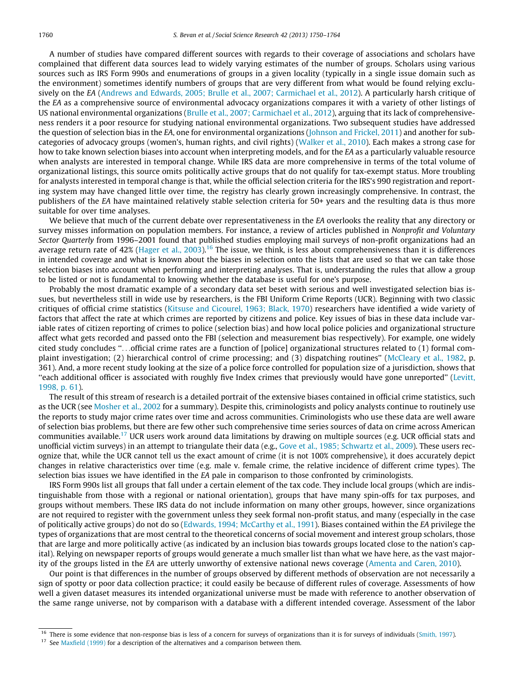A number of studies have compared different sources with regards to their coverage of associations and scholars have complained that different data sources lead to widely varying estimates of the number of groups. Scholars using various sources such as IRS Form 990s and enumerations of groups in a given locality (typically in a single issue domain such as the environment) sometimes identify numbers of groups that are very different from what would be found relying exclu-sively on the EA ([Andrews and Edwards, 2005; Brulle et al., 2007; Carmichael et al., 2012](#page-12-0)). A particularly harsh critique of the EA as a comprehensive source of environmental advocacy organizations compares it with a variety of other listings of US national environmental organizations ([Brulle et al., 2007; Carmichael et al., 2012](#page-12-0)), arguing that its lack of comprehensiveness renders it a poor resource for studying national environmental organizations. Two subsequent studies have addressed the question of selection bias in the EA, one for environmental organizations [\(Johnson and Frickel, 2011](#page-13-0)) and another for subcategories of advocacy groups (women's, human rights, and civil rights) [\(Walker et al., 2010\)](#page-14-0). Each makes a strong case for how to take known selection biases into account when interpreting models, and for the EA as a particularly valuable resource when analysts are interested in temporal change. While IRS data are more comprehensive in terms of the total volume of organizational listings, this source omits politically active groups that do not qualify for tax-exempt status. More troubling for analysts interested in temporal change is that, while the official selection criteria for the IRS's 990 registration and reporting system may have changed little over time, the registry has clearly grown increasingly comprehensive. In contrast, the publishers of the EA have maintained relatively stable selection criteria for 50+ years and the resulting data is thus more suitable for over time analyses.

We believe that much of the current debate over representativeness in the EA overlooks the reality that any directory or survey misses information on population members. For instance, a review of articles published in Nonprofit and Voluntary Sector Quarterly from 1996–2001 found that published studies employing mail surveys of non-profit organizations had an average return rate of 42% ([Hager et al., 2003](#page-13-0)).<sup>16</sup> The issue, we think, is less about comprehensiveness than it is differences in intended coverage and what is known about the biases in selection onto the lists that are used so that we can take those selection biases into account when performing and interpreting analyses. That is, understanding the rules that allow a group to be listed or not is fundamental to knowing whether the database is useful for one's purpose.

Probably the most dramatic example of a secondary data set beset with serious and well investigated selection bias issues, but nevertheless still in wide use by researchers, is the FBI Uniform Crime Reports (UCR). Beginning with two classic critiques of official crime statistics [\(Kitsuse and Cicourel, 1963; Black, 1970\)](#page-13-0) researchers have identified a wide variety of factors that affect the rate at which crimes are reported by citizens and police. Key issues of bias in these data include variable rates of citizen reporting of crimes to police (selection bias) and how local police policies and organizational structure affect what gets recorded and passed onto the FBI (selection and measurement bias respectively). For example, one widely cited study concludes ''...official crime rates are a function of [police] organizational structures related to (1) formal com-plaint investigation; (2) hierarchical control of crime processing; and (3) dispatching routines" ([McCleary et al., 1982,](#page-13-0) p. 361). And, a more recent study looking at the size of a police force controlled for population size of a jurisdiction, shows that ''each additional officer is associated with roughly five Index crimes that previously would have gone unreported'' [\(Levitt,](#page-13-0) [1998, p. 61\)](#page-13-0).

The result of this stream of research is a detailed portrait of the extensive biases contained in official crime statistics, such as the UCR (see [Mosher et al., 2002](#page-13-0) for a summary). Despite this, criminologists and policy analysts continue to routinely use the reports to study major crime rates over time and across communities. Criminologists who use these data are well aware of selection bias problems, but there are few other such comprehensive time series sources of data on crime across American communities available.<sup>17</sup> UCR users work around data limitations by drawing on multiple sources (e.g. UCR official stats and unofficial victim surveys) in an attempt to triangulate their data (e.g., [Gove et al., 1985; Schwartz et al., 2009](#page-13-0)). These users recognize that, while the UCR cannot tell us the exact amount of crime (it is not 100% comprehensive), it does accurately depict changes in relative characteristics over time (e.g. male v. female crime, the relative incidence of different crime types). The selection bias issues we have identified in the EA pale in comparison to those confronted by criminologists.

IRS Form 990s list all groups that fall under a certain element of the tax code. They include local groups (which are indistinguishable from those with a regional or national orientation), groups that have many spin-offs for tax purposes, and groups without members. These IRS data do not include information on many other groups, however, since organizations are not required to register with the government unless they seek formal non-profit status, and many (especially in the case of politically active groups) do not do so [\(Edwards, 1994; McCarthy et al., 1991](#page-12-0)). Biases contained within the EA privilege the types of organizations that are most central to the theoretical concerns of social movement and interest group scholars, those that are large and more politically active (as indicated by an inclusion bias towards groups located close to the nation's capital). Relying on newspaper reports of groups would generate a much smaller list than what we have here, as the vast majority of the groups listed in the EA are utterly unworthy of extensive national news coverage ([Amenta and Caren, 2010\)](#page-12-0).

Our point is that differences in the number of groups observed by different methods of observation are not necessarily a sign of spotty or poor data collection practice; it could easily be because of different rules of coverage. Assessments of how well a given dataset measures its intended organizational universe must be made with reference to another observation of the same range universe, not by comparison with a database with a different intended coverage. Assessment of the labor

<sup>&</sup>lt;sup>16</sup> There is some evidence that non-response bias is less of a concern for surveys of organizations than it is for surveys of individuals [\(Smith, 1997](#page-14-0)).

 $17$  See [Maxfield \(1999\)](#page-13-0) for a description of the alternatives and a comparison between them.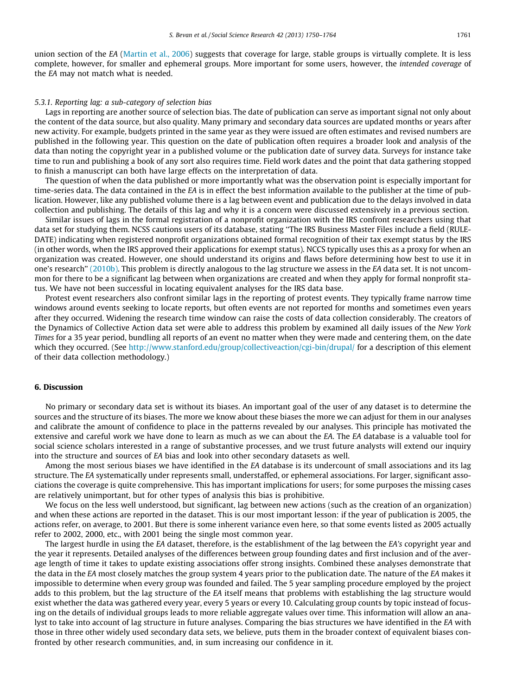union section of the EA ([Martin et al., 2006\)](#page-13-0) suggests that coverage for large, stable groups is virtually complete. It is less complete, however, for smaller and ephemeral groups. More important for some users, however, the intended coverage of the EA may not match what is needed.

# 5.3.1. Reporting lag: a sub-category of selection bias

Lags in reporting are another source of selection bias. The date of publication can serve as important signal not only about the content of the data source, but also quality. Many primary and secondary data sources are updated months or years after new activity. For example, budgets printed in the same year as they were issued are often estimates and revised numbers are published in the following year. This question on the date of publication often requires a broader look and analysis of the data than noting the copyright year in a published volume or the publication date of survey data. Surveys for instance take time to run and publishing a book of any sort also requires time. Field work dates and the point that data gathering stopped to finish a manuscript can both have large effects on the interpretation of data.

The question of when the data published or more importantly what was the observation point is especially important for time-series data. The data contained in the EA is in effect the best information available to the publisher at the time of publication. However, like any published volume there is a lag between event and publication due to the delays involved in data collection and publishing. The details of this lag and why it is a concern were discussed extensively in a previous section.

Similar issues of lags in the formal registration of a nonprofit organization with the IRS confront researchers using that data set for studying them. NCSS cautions users of its database, stating ''The IRS Business Master Files include a field (RULE-DATE) indicating when registered nonprofit organizations obtained formal recognition of their tax exempt status by the IRS (in other words, when the IRS approved their applications for exempt status). NCCS typically uses this as a proxy for when an organization was created. However, one should understand its origins and flaws before determining how best to use it in one's research'' [\(2010b\).](#page-13-0) This problem is directly analogous to the lag structure we assess in the EA data set. It is not uncommon for there to be a significant lag between when organizations are created and when they apply for formal nonprofit status. We have not been successful in locating equivalent analyses for the IRS data base.

Protest event researchers also confront similar lags in the reporting of protest events. They typically frame narrow time windows around events seeking to locate reports, but often events are not reported for months and sometimes even years after they occurred. Widening the research time window can raise the costs of data collection considerably. The creators of the Dynamics of Collective Action data set were able to address this problem by examined all daily issues of the New York Times for a 35 year period, bundling all reports of an event no matter when they were made and centering them, on the date which they occurred. (See <http://www.stanford.edu/group/collectiveaction/cgi-bin/drupal/> for a description of this element of their data collection methodology.)

# 6. Discussion

No primary or secondary data set is without its biases. An important goal of the user of any dataset is to determine the sources and the structure of its biases. The more we know about these biases the more we can adjust for them in our analyses and calibrate the amount of confidence to place in the patterns revealed by our analyses. This principle has motivated the extensive and careful work we have done to learn as much as we can about the EA. The EA database is a valuable tool for social science scholars interested in a range of substantive processes, and we trust future analysts will extend our inquiry into the structure and sources of EA bias and look into other secondary datasets as well.

Among the most serious biases we have identified in the EA database is its undercount of small associations and its lag structure. The EA systematically under represents small, understaffed, or ephemeral associations. For larger, significant associations the coverage is quite comprehensive. This has important implications for users; for some purposes the missing cases are relatively unimportant, but for other types of analysis this bias is prohibitive.

We focus on the less well understood, but significant, lag between new actions (such as the creation of an organization) and when these actions are reported in the dataset. This is our most important lesson: if the year of publication is 2005, the actions refer, on average, to 2001. But there is some inherent variance even here, so that some events listed as 2005 actually refer to 2002, 2000, etc., with 2001 being the single most common year.

The largest hurdle in using the EA dataset, therefore, is the establishment of the lag between the EA's copyright year and the year it represents. Detailed analyses of the differences between group founding dates and first inclusion and of the average length of time it takes to update existing associations offer strong insights. Combined these analyses demonstrate that the data in the EA most closely matches the group system 4 years prior to the publication date. The nature of the EA makes it impossible to determine when every group was founded and failed. The 5 year sampling procedure employed by the project adds to this problem, but the lag structure of the EA itself means that problems with establishing the lag structure would exist whether the data was gathered every year, every 5 years or every 10. Calculating group counts by topic instead of focusing on the details of individual groups leads to more reliable aggregate values over time. This information will allow an analyst to take into account of lag structure in future analyses. Comparing the bias structures we have identified in the EA with those in three other widely used secondary data sets, we believe, puts them in the broader context of equivalent biases confronted by other research communities, and, in sum increasing our confidence in it.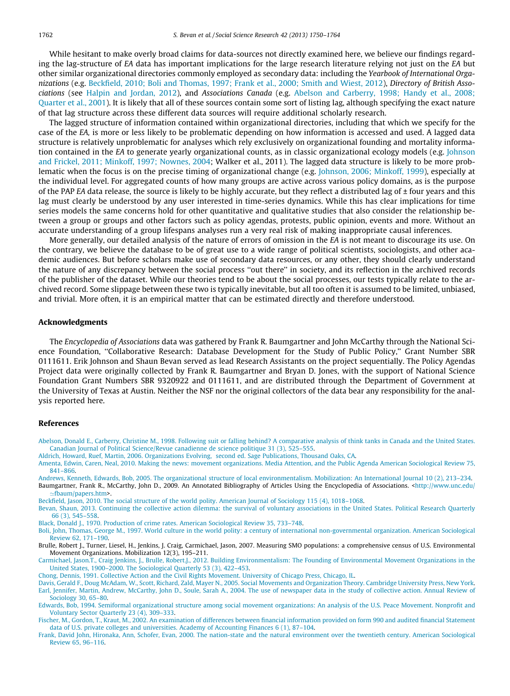<span id="page-12-0"></span>While hesitant to make overly broad claims for data-sources not directly examined here, we believe our findings regarding the lag-structure of EA data has important implications for the large research literature relying not just on the EA but other similar organizational directories commonly employed as secondary data: including the Yearbook of International Organizations (e.g. Beckfield, 2010; Boli and Thomas, 1997; Frank et al., 2000; Smith and Wiest, 2012), Directory of British Associations (see [Halpin and Jordan, 2012\)](#page-13-0), and Associations Canada (e.g. Abelson and Carberry, 1998; Handy et al., 2008; Quarter et al., 2001). It is likely that all of these sources contain some sort of listing lag, although specifying the exact nature of that lag structure across these different data sources will require additional scholarly research.

The lagged structure of information contained within organizational directories, including that which we specify for the case of the EA, is more or less likely to be problematic depending on how information is accessed and used. A lagged data structure is relatively unproblematic for analyses which rely exclusively on organizational founding and mortality information contained in the EA to generate yearly organizational counts, as in classic organizational ecology models (e.g. [Johnson](#page-13-0) [and Frickel, 2011; Minkoff, 1997; Nownes, 2004;](#page-13-0) Walker et al., 2011). The lagged data structure is likely to be more problematic when the focus is on the precise timing of organizational change (e.g. [Johnson, 2006; Minkoff, 1999\)](#page-13-0), especially at the individual level. For aggregated counts of how many groups are active across various policy domains, as is the purpose of the PAP EA data release, the source is likely to be highly accurate, but they reflect a distributed lag of  $\pm$  four years and this lag must clearly be understood by any user interested in time-series dynamics. While this has clear implications for time series models the same concerns hold for other quantitative and qualitative studies that also consider the relationship between a group or groups and other factors such as policy agendas, protests, public opinion, events and more. Without an accurate understanding of a group lifespans analyses run a very real risk of making inappropriate causal inferences.

More generally, our detailed analysis of the nature of errors of omission in the EA is not meant to discourage its use. On the contrary, we believe the database to be of great use to a wide range of political scientists, sociologists, and other academic audiences. But before scholars make use of secondary data resources, or any other, they should clearly understand the nature of any discrepancy between the social process ''out there'' in society, and its reflection in the archived records of the publisher of the dataset. While our theories tend to be about the social processes, our tests typically relate to the archived record. Some slippage between these two is typically inevitable, but all too often it is assumed to be limited, unbiased, and trivial. More often, it is an empirical matter that can be estimated directly and therefore understood.

# Acknowledgments

The Encyclopedia of Associations data was gathered by Frank R. Baumgartner and John McCarthy through the National Science Foundation, ''Collaborative Research: Database Development for the Study of Public Policy,'' Grant Number SBR 0111611. Erik Johnson and Shaun Bevan served as lead Research Assistants on the project sequentially. The Policy Agendas Project data were originally collected by Frank R. Baumgartner and Bryan D. Jones, with the support of National Science Foundation Grant Numbers SBR 9320922 and 0111611, and are distributed through the Department of Government at the University of Texas at Austin. Neither the NSF nor the original collectors of the data bear any responsibility for the analysis reported here.

# References

- [Abelson, Donald E., Carberry, Christine M., 1998. Following suit or falling behind? A comparative analysis of think tanks in Canada and the United States.](http://refhub.elsevier.com/S0049-089X(13)00122-1/h0005) [Canadian Journal of Political Science/Revue canadienne de science politique 31 \(3\), 525–555.](http://refhub.elsevier.com/S0049-089X(13)00122-1/h0005)
- [Aldrich, Howard, Ruef, Martin, 2006. Organizations Evolving, second ed. Sage Publications, Thousand Oaks, CA](http://refhub.elsevier.com/S0049-089X(13)00122-1/h0010).
- [Amenta, Edwin, Caren, Neal, 2010. Making the news: movement organizations. Media Attention, and the Public Agenda American Sociological Review 75,](http://refhub.elsevier.com/S0049-089X(13)00122-1/h0015) [841–866.](http://refhub.elsevier.com/S0049-089X(13)00122-1/h0015)
- [Andrews, Kenneth, Edwards, Bob, 2005. The organizational structure of local environmentalism. Mobilization: An International Journal 10 \(2\), 213–234](http://refhub.elsevier.com/S0049-089X(13)00122-1/h0020). Baumgartner, Frank R., McCarthy, John D., 2009. An Annotated Bibliography of Articles Using the Encyclopedia of Associations. [<http://www.unc.edu/](http://www.unc.edu/) '[fbaum/papers.htm](http://www.unc.edu/)>.
- [Beckfield, Jason, 2010. The social structure of the world polity. American Journal of Sociology 115 \(4\), 1018–1068.](http://refhub.elsevier.com/S0049-089X(13)00122-1/h0025)
- [Bevan, Shaun, 2013. Continuing the collective action dilemma: the survival of voluntary associations in the United States. Political Research Quarterly](http://refhub.elsevier.com/S0049-089X(13)00122-1/h0310) [66 \(3\), 545–558.](http://refhub.elsevier.com/S0049-089X(13)00122-1/h0310)

[Black, Donald J., 1970. Production of crime rates. American Sociological Review 35, 733–748.](http://refhub.elsevier.com/S0049-089X(13)00122-1/h0030)

- [Boli, John, Thomas, George M., 1997. World culture in the world polity: a century of international non-governmental organization. American Sociological](http://refhub.elsevier.com/S0049-089X(13)00122-1/h0035) [Review 62, 171–190](http://refhub.elsevier.com/S0049-089X(13)00122-1/h0035).
- Brulle, Robert J., Turner, Liesel, H., Jenkins, J. Craig, Carmichael, Jason, 2007. Measuring SMO populations: a comprehensive census of U.S. Environmental Movement Organizations. Mobilization 12(3), 195–211.
- [Carmichael, Jason.T., Craig Jenkins, J., Brulle, Robert.J., 2012. Building Environmentalism: The Founding of Environmental Movement Organizations in the](http://refhub.elsevier.com/S0049-089X(13)00122-1/h0315) [United States, 1900–2000. The Sociological Quarterly 53 \(3\), 422–453.](http://refhub.elsevier.com/S0049-089X(13)00122-1/h0315)
- [Chong, Dennis, 1991. Collective Action and the Civil Rights Movement. University of Chicago Press, Chicago, IL.](http://refhub.elsevier.com/S0049-089X(13)00122-1/h0040)
- [Davis, Gerald F., Doug McAdam, W., Scott, Richard, Zald, Mayer N., 2005. Social Movements and Organization Theory. Cambridge University Press, New York.](http://refhub.elsevier.com/S0049-089X(13)00122-1/h0045) [Earl, Jennifer, Martin, Andrew, McCarthy, John D., Soule, Sarah A., 2004. The use of newspaper data in the study of collective action. Annual Review of](http://refhub.elsevier.com/S0049-089X(13)00122-1/h0050) [Sociology 30, 65–80](http://refhub.elsevier.com/S0049-089X(13)00122-1/h0050).
- [Edwards, Bob, 1994. Semiformal organizational structure among social movement organizations: An analysis of the U.S. Peace Movement. Nonprofit and](http://refhub.elsevier.com/S0049-089X(13)00122-1/h0055) [Voluntary Sector Quarterly 23 \(4\), 309–333.](http://refhub.elsevier.com/S0049-089X(13)00122-1/h0055)
- [Fischer, M., Gordon, T., Kraut, M., 2002. An examination of differences between financial information provided on form 990 and audited financial Statement](http://refhub.elsevier.com/S0049-089X(13)00122-1/h0060) [data of U.S. private colleges and universities. Academy of Accounting Finances 6 \(1\), 87–104](http://refhub.elsevier.com/S0049-089X(13)00122-1/h0060).
- [Frank, David John, Hironaka, Ann, Schofer, Evan, 2000. The nation-state and the natural environment over the twentieth century. American Sociological](http://refhub.elsevier.com/S0049-089X(13)00122-1/h0065) [Review 65, 96–116](http://refhub.elsevier.com/S0049-089X(13)00122-1/h0065).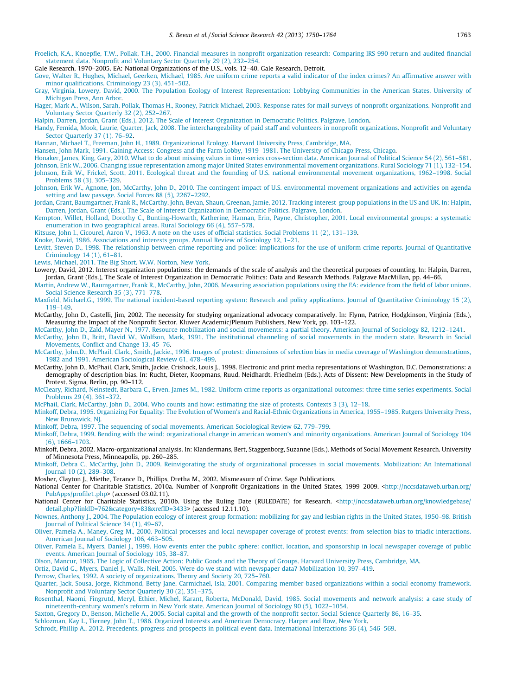- <span id="page-13-0"></span>[Froelich, K.A., Knoepfle, T.W., Pollak, T.H., 2000. Financial measures in nonprofit organization research: Comparing IRS 990 return and audited financial](http://refhub.elsevier.com/S0049-089X(13)00122-1/h0070) [statement data. Nonprofit and Voluntary Sector Quarterly 29 \(2\), 232–254.](http://refhub.elsevier.com/S0049-089X(13)00122-1/h0070)
- Gale Research, 1970–2005. EA: National Organizations of the U.S., vols. 12–40. Gale Research, Detroit.
- [Gove, Walter R., Hughes, Michael, Geerken, Michael, 1985. Are uniform crime reports a valid indicator of the index crimes? An affirmative answer with](http://refhub.elsevier.com/S0049-089X(13)00122-1/h0075) [minor qualifications. Criminology 23 \(3\), 451–502.](http://refhub.elsevier.com/S0049-089X(13)00122-1/h0075)
- [Gray, Virginia, Lowery, David, 2000. The Population Ecology of Interest Representation: Lobbying Communities in the American States. University of](http://refhub.elsevier.com/S0049-089X(13)00122-1/h0080) [Michigan Press, Ann Arbor.](http://refhub.elsevier.com/S0049-089X(13)00122-1/h0080)
- [Hager, Mark A., Wilson, Sarah, Pollak, Thomas H., Rooney, Patrick Michael, 2003. Response rates for mail surveys of nonprofit organizations. Nonprofit and](http://refhub.elsevier.com/S0049-089X(13)00122-1/h0085) [Voluntary Sector Quarterly 32 \(2\), 252–267.](http://refhub.elsevier.com/S0049-089X(13)00122-1/h0085)
- [Halpin, Darren, Jordan, Grant \(Eds.\), 2012. The Scale of Interest Organization in Democratic Politics. Palgrave, London](http://refhub.elsevier.com/S0049-089X(13)00122-1/h0090).
- [Handy, Femida, Mook, Laurie, Quarter, Jack, 2008. The interchangeability of paid staff and volunteers in nonprofit organizations. Nonprofit and Voluntary](http://refhub.elsevier.com/S0049-089X(13)00122-1/h0095) [Sector Quarterly 37 \(1\), 76–92.](http://refhub.elsevier.com/S0049-089X(13)00122-1/h0095)
- [Hannan, Michael T., Freeman, John H., 1989. Organizational Ecology. Harvard University Press, Cambridge, MA](http://refhub.elsevier.com/S0049-089X(13)00122-1/h0100).
- [Hansen, John Mark, 1991. Gaining Access: Congress and the Farm Lobby, 1919–1981. The University of Chicago Press, Chicago](http://refhub.elsevier.com/S0049-089X(13)00122-1/h0105).
- [Honaker, James, King, Gary, 2010. What to do about missing values in time-series cross-section data. American Journal of Political Science 54 \(2\), 561–581.](http://refhub.elsevier.com/S0049-089X(13)00122-1/h0110)
- [Johnson, Erik W., 2006. Changing issue representation among major United States environmental movement organizations. Rural Sociology 71 \(1\), 132–154.](http://refhub.elsevier.com/S0049-089X(13)00122-1/h0115) [Johnson, Erik W., Frickel, Scott, 2011. Ecological threat and the founding of U.S. national environmental movement organizations, 1962–1998. Social](http://refhub.elsevier.com/S0049-089X(13)00122-1/h0120) [Problems 58 \(3\), 305–329.](http://refhub.elsevier.com/S0049-089X(13)00122-1/h0120)
- [Johnson, Erik W., Agnone, Jon, McCarthy, John D., 2010. The contingent impact of U.S. environmental movement organizations and activities on agenda](http://refhub.elsevier.com/S0049-089X(13)00122-1/h0125) [setting and law passage. Social Forces 88 \(5\), 2267–2292.](http://refhub.elsevier.com/S0049-089X(13)00122-1/h0125)
- [Jordan, Grant, Baumgartner, Frank R., McCarthy, John, Bevan, Shaun, Greenan, Jamie, 2012. Tracking interest-group populations in the US and UK. In:](http://refhub.elsevier.com/S0049-089X(13)00122-1/h0130) Halpin, [Darren, Jordan, Grant \(Eds.\), The Scale of Interest Organization in Democratic Politics. Palgrave, London](http://refhub.elsevier.com/S0049-089X(13)00122-1/h0130).
- [Kempton, Willet, Holland, Dorothy C., Bunting-Howarth, Katherine, Hannan, Erin, Payne, Christopher, 2001. Local environmental groups: a systematic](http://refhub.elsevier.com/S0049-089X(13)00122-1/h0135) [enumeration in two geographical areas. Rural Sociology 66 \(4\), 557–578.](http://refhub.elsevier.com/S0049-089X(13)00122-1/h0135)
- Kitsuse, John I., Cicourel, Aaron V., 1963. A note on the uses of official statistics. Social Problems 11 (2), 131-139.
- [Knoke, David, 1986. Associations and interests groups. Annual Review of Sociology 12, 1–21](http://refhub.elsevier.com/S0049-089X(13)00122-1/h0145).
- [Levitt, Steven D., 1998. The relationship between crime reporting and police: implications for the use of uniform crime reports. Journal of Quantitative](http://refhub.elsevier.com/S0049-089X(13)00122-1/h0155) [Criminology 14 \(1\), 61–81](http://refhub.elsevier.com/S0049-089X(13)00122-1/h0155).
- [Lewis, Michael, 2011. The Big Short. W.W. Norton, New York.](http://refhub.elsevier.com/S0049-089X(13)00122-1/h0160)
- Lowery, David, 2012. Interest organization populations: the demands of the scale of analysis and the theoretical purposes of counting. In: Halpin, Darren, Jordan, Grant (Eds.), The Scale of Interest Organization in Democratic Politics: Data and Research Methods. Palgrave MacMillan, pp. 44–66.
- [Martin, Andrew W., Baumgartner, Frank R., McCarthy, John, 2006. Measuring association populations using the EA: evidence from the field of labor unions.](http://refhub.elsevier.com/S0049-089X(13)00122-1/h0165) [Social Science Research 35 \(3\), 771–778.](http://refhub.elsevier.com/S0049-089X(13)00122-1/h0165)
- [Maxfield, Michael.G., 1999. The national incident-based reporting system: Research and policy applications. Journal of Quantitative Criminology](http://refhub.elsevier.com/S0049-089X(13)00122-1/h0320) 15 (2), [119–149.](http://refhub.elsevier.com/S0049-089X(13)00122-1/h0320)
- McCarthy, John D., Castelli, Jim, 2002. The necessity for studying organizational advocacy comparatively. In: Flynn, Patrice, Hodgkinson, Virginia (Eds.), Measuring the Impact of the Nonprofit Sector. Kluwer Academic/Plenum Publishers, New York, pp. 103–122.
- [McCarthy, John D., Zald, Mayer N., 1977. Resource mobilization and social movements: a partial theory. American Journal of Sociology 82, 1212–1241.](http://refhub.elsevier.com/S0049-089X(13)00122-1/h0170)
- [McCarthy, John D., Britt, David W., Wolfson, Mark, 1991. The institutional channeling of social movements in the modern state. Research in Social](http://refhub.elsevier.com/S0049-089X(13)00122-1/h0175) [Movements, Conflict and Change 13, 45–76](http://refhub.elsevier.com/S0049-089X(13)00122-1/h0175).
- [McCarthy, John.D., McPhail, Clark., Smith, Jackie., 1996. Images of protest: dimensions of selection bias in media coverage of Washington demonstrations,](http://refhub.elsevier.com/S0049-089X(13)00122-1/h0180) [1982 and 1991. American Sociological Review 61, 478–499](http://refhub.elsevier.com/S0049-089X(13)00122-1/h0180).
- McCarthy, John D., McPhail, Clark, Smith, Jackie, Crishock, Louis J., 1998. Electronic and print media representations of Washington, D.C. Demonstrations: a demography of description bias. In: Rucht, Dieter, Koopmans, Ruud, Neidhardt, Friedhelm (Eds.), Acts of Dissent: New Developments in the Study of Protest. Sigma, Berlin, pp. 90–112.
- [McCleary, Richard, Neinstedt, Barbara C., Erven, James M., 1982. Uniform crime reports as organizational outcomes: three time series experiments.](http://refhub.elsevier.com/S0049-089X(13)00122-1/h0185) Social [Problems 29 \(4\), 361–372.](http://refhub.elsevier.com/S0049-089X(13)00122-1/h0185)
- [McPhail, Clark, McCarthy, John D., 2004. Who counts and how: estimating the size of protests. Contexts 3 \(3\), 12–18](http://refhub.elsevier.com/S0049-089X(13)00122-1/h0190).
- [Minkoff, Debra, 1995. Organizing For Equality: The Evolution of Women's and Racial-Ethnic Organizations in America, 1955–1985. Rutgers University Press,](http://refhub.elsevier.com/S0049-089X(13)00122-1/h0195) [New Brunswick, NJ](http://refhub.elsevier.com/S0049-089X(13)00122-1/h0195).
- [Minkoff, Debra, 1997. The sequencing of social movements. American Sociological Review 62, 779–799](http://refhub.elsevier.com/S0049-089X(13)00122-1/h0200).
- [Minkoff, Debra, 1999. Bending with the wind: organizational change in american women's and minority organizations. American Journal of Sociology 104](http://refhub.elsevier.com/S0049-089X(13)00122-1/h0205) [\(6\), 1666–1703](http://refhub.elsevier.com/S0049-089X(13)00122-1/h0205).
- Minkoff, Debra, 2002. Macro-organizational analysis. In: Klandermans, Bert, Staggenborg, Suzanne (Eds.), Methods of Social Movement Research. University of Minnesota Press, Minneapolis, pp. 260–285.
- [Minkoff, Debra C., McCarthy, John D., 2009. Reinvigorating the study of organizational processes in social movements. Mobilization: An International](http://refhub.elsevier.com/S0049-089X(13)00122-1/h0210) [Journal 10 \(2\), 289–308](http://refhub.elsevier.com/S0049-089X(13)00122-1/h0210).
- Mosher, Clayton J., Miethe, Terance D., Phillips, Dretha M., 2002. Mismeasure of Crime. Sage Publications.
- National Center for Charitable Statistics, 2010a. Number of Nonprofit Organizations in the United States, 1999–2009. [<http://nccsdataweb.urban.org/](http://nccsdataweb.urban.org/PubApps/profile1.php) [PubApps/profile1.php](http://nccsdataweb.urban.org/PubApps/profile1.php)> (accessed 03.02.11).
- National Center for Charitable Statistics, 2010b. Using the Ruling Date (RULEDATE) for Research. [<http://nccsdataweb.urban.org/knowledgebase/](http://nccsdataweb.urban.org/knowledgebase/detail.php?linkID=762&category=83&xrefID=3433) [detail.php?linkID=762&category=83&xrefID=3433>](http://nccsdataweb.urban.org/knowledgebase/detail.php?linkID=762&category=83&xrefID=3433) (accessed 12.11.10).
- [Nownes, Anthony J., 2004. The Population ecology of interest group formation: mobilizing for gay and lesbian rights in the United States, 1950–98. British](http://refhub.elsevier.com/S0049-089X(13)00122-1/h0215) [Journal of Political Science 34 \(1\), 49–67.](http://refhub.elsevier.com/S0049-089X(13)00122-1/h0215)
- [Oliver, Pamela A., Maney, Greg M., 2000. Political processes and local newspaper coverage of protest events: from selection bias to triadic interactions.](http://refhub.elsevier.com/S0049-089X(13)00122-1/h0220) [American Journal of Sociology 106, 463–505](http://refhub.elsevier.com/S0049-089X(13)00122-1/h0220).
- [Oliver, Pamela E., Myers, Daniel J., 1999. How events enter the public sphere: conflict, location, and sponsorship in local newspaper coverage of public](http://refhub.elsevier.com/S0049-089X(13)00122-1/h0225) [events. American Journal of Sociology 105, 38–87.](http://refhub.elsevier.com/S0049-089X(13)00122-1/h0225)
- [Olson, Mancur, 1965. The Logic of Collective Action: Public Goods and the Theory of Groups. Harvard University Press, Cambridge, MA.](http://refhub.elsevier.com/S0049-089X(13)00122-1/h0230)
- [Ortiz, David G., Myers, Daniel J., Walls, Neil, 2005. Were do we stand with newspaper data? Mobilization 10, 397–419](http://refhub.elsevier.com/S0049-089X(13)00122-1/h0235).
- [Perrow, Charles, 1992. A society of organizations. Theory and Society 20, 725–760.](http://refhub.elsevier.com/S0049-089X(13)00122-1/h0240)
- [Quarter, Jack, Sousa, Jorge, Richmond, Betty Jane, Carmichael, Isla, 2001. Comparing member-based organizations within a social economy framework.](http://refhub.elsevier.com/S0049-089X(13)00122-1/h0245) [Nonprofit and Voluntary Sector Quarterly 30 \(2\), 351–375](http://refhub.elsevier.com/S0049-089X(13)00122-1/h0245).
- [Rosenthal, Naomi, Fingrutd, Meryl, Ethier, Michel, Karant, Roberta, McDonald, David, 1985. Social movements and network analysis: a case study of](http://refhub.elsevier.com/S0049-089X(13)00122-1/h0250) [nineteenth-century women's reform in New York state. American Journal of Sociology 90 \(5\), 1022–1054](http://refhub.elsevier.com/S0049-089X(13)00122-1/h0250).
- [Saxton, Gregory D., Benson, Michelle A., 2005. Social capital and the growth of the nonprofit sector. Social Science Quarterly 86, 16–35.](http://refhub.elsevier.com/S0049-089X(13)00122-1/h0255)
- [Schlozman, Kay L., Tierney, John T., 1986. Organized Interests and American Democracy. Harper and Row, New York.](http://refhub.elsevier.com/S0049-089X(13)00122-1/h0260)
- [Schrodt, Phillip A., 2012. Precedents, progress and prospects in political event data. International Interactions 36 \(4\), 546–569](http://refhub.elsevier.com/S0049-089X(13)00122-1/h0265).